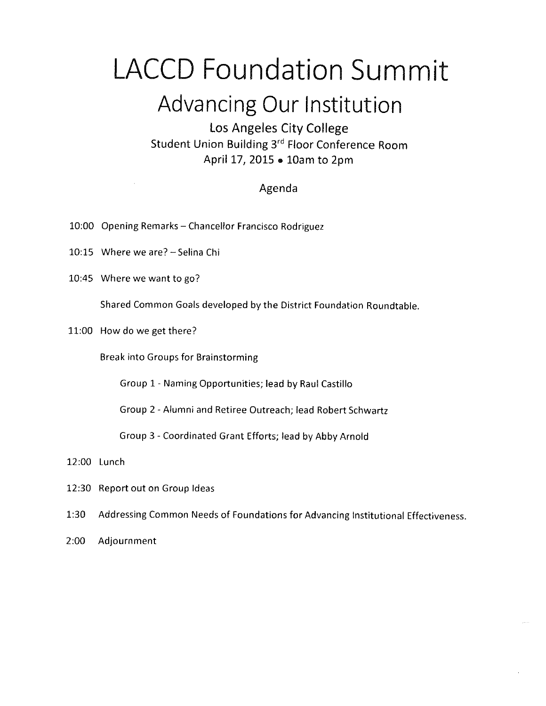### LACCD Foundation Summit  $\bullet$  and  $\bullet$  and  $\bullet$  and  $\bullet$  and  $\bullet$  and  $\bullet$  and  $\bullet$  and  $\bullet$  and  $\bullet$  and  $\bullet$  and  $\bullet$  and  $\bullet$  and  $\bullet$  and  $\bullet$  and  $\bullet$  and  $\bullet$  and  $\bullet$  and  $\bullet$  and  $\bullet$  and  $\bullet$  and  $\bullet$  and  $\bullet$  and  $\bullet$  and  $\bullet$  and  $\bullet$

### Advancing Our Institution

Los Angeles City College Student Union Building 3rd Floor Conference Room April 17, 2015 » 10am to 2pm

#### Agenda

- 10:00 Opening Remarks Chancellor Francisco Rodriguez
- 10:15 Where we are? ~ Sefina Chi
- 10:45 Where we want to go?

Shared Common Goals developed by the District Foundation Roundtable.

11:00 How do we get there?

Break into Groups for Brainstorming

Group 1 - Naming Opportunities; lead by Rau! Castillo

Group 2 ~ Afumni and Retiree Outreach; lead Robert Schwartz

Group 3 - Coordinated Grant Efforts; lead by Abby Arnold

12:00 Lunch

- 12:30 Report out on Group Ideas
- 1:30 Addressing Common Needs of Foundations for Advancing Institutional Effectiveness.
- 2:00 Adjournment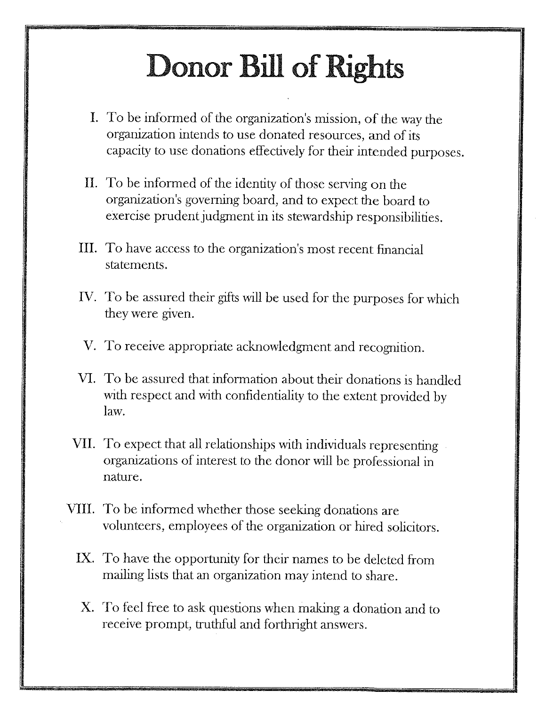## **Donor Bill of Rights**

- I. To be informed of the organization's mission, of the way the organization intends to use donated resources, and of its capacity to use donations effectively for their intended purposes.
- II. To be informed of the identity of those serving on the organization's governing board, and to expect the board to exercise prudent judgment in its stewardship responsibilities.
- III. To have access to the organization's most recent financial statements.
- IV. To be assured their gifts will be used for the purposes for which they were given.
- V. To receive appropriate acknowledgment and recognition.
- VI. To be assured that information about their donations is handled with respect and with confidentiality to the extent provided by law.
- VII. To expect that all relationships with individuals representing organizations of interest to the donor will be professional in nature.
- VIII. To be informed whether those seeking donations are volunteers, employees of the organization or hired solicitors.
	- IX. To have the opportunity for their names to be deleted from mailing lists that an organization may intend to share.
	- X. To feel free to ask questions when making a donation and to receive prompt, truthful and forthright answers.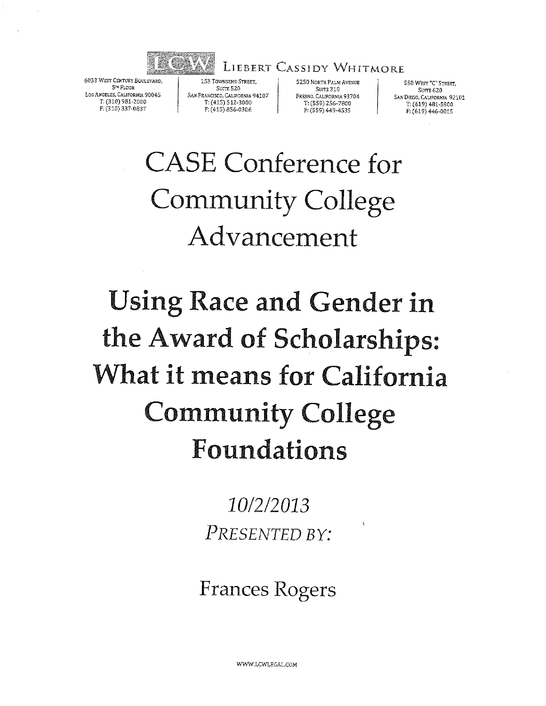

6033 WEST CENTURY BOULEVARD. **STH FLOOR** LOS ANGELES, CALIFORNIA 90045 T: (310) 981-2000 F: (310) 337-0837

153 TOWNSEND STREET, Stime 5.20 SAN FRANCISCO, CALIFORNIA 94107 7: (415) 512-3000 F: (415) 856-0306

5250 NORTH PALM AVENUE  $\texttt{SUTE}~310$ FRESNO, CALIFORNIA 93704 T: (559) 256-7800 F: (559) 449-4535

**LIEBERT CASSIDY WHITMORE** 

550 WEST "C" STREET, SUITE 620 SAN DIEGO, CALIFORNIA 92101 T: (619) 481-5900 F: (619) 446-0015

### **CASE Conference for Community College** Advancement

### **Using Race and Gender in** the Award of Scholarships: What it means for California **Community College** Foundations

10/2/2013 PRESENTED BY:

**Frances Rogers** 

WWW.LCWLEGAL.COM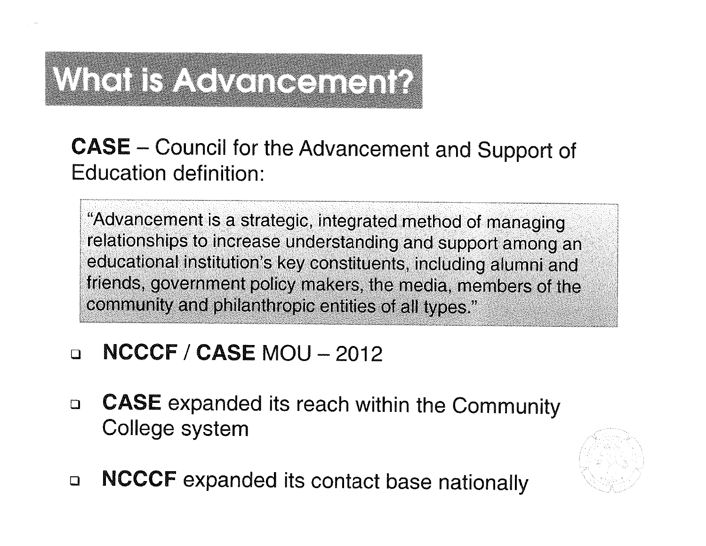# When B A GMencench?

Council for the Advancement and Suppor - Council for the Advancement and Suppo<br>See definition: Education definition:

"Advancement is a strategic, integrated method of managingrelationships to increase understanding and support amon educational institution's key constituents, including alumn friends, government policy makers, the media, members c community and philanthropic entities of ail types."

#### $\Box$  $NCCCF / CASE MOU - 2012$

- **CASE** expanded its reach within the Community  $\Box$ College system
- NCCCF expanded its contact base nationally  $\Box$

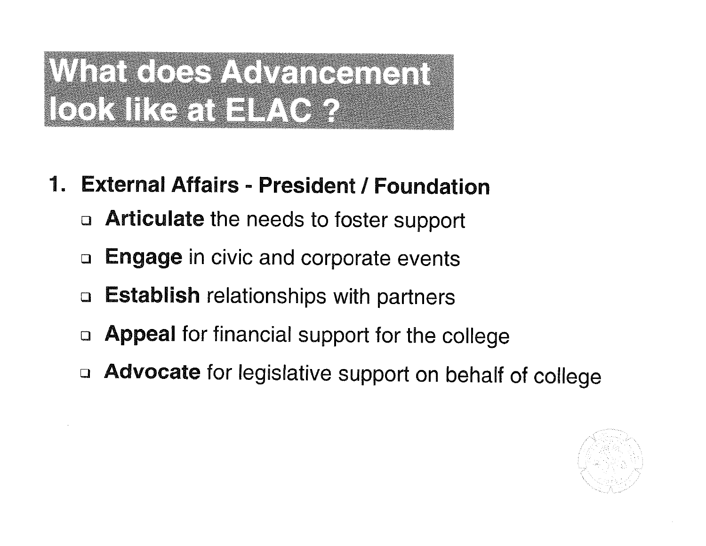## Mitti Kock Volkingingin LOOKITK SENETIM OF?

- 1. External Affairs President / Foundation
	- **D** Articulate the needs to foster support
	- **Engage** in civic and corporate events  $\Box$
	- **Establish relationships with partners**  $\Box$
	- Appeal for financial support for the college  $\square$
	- Advocate for legislative support on behalf of college  $\Box$

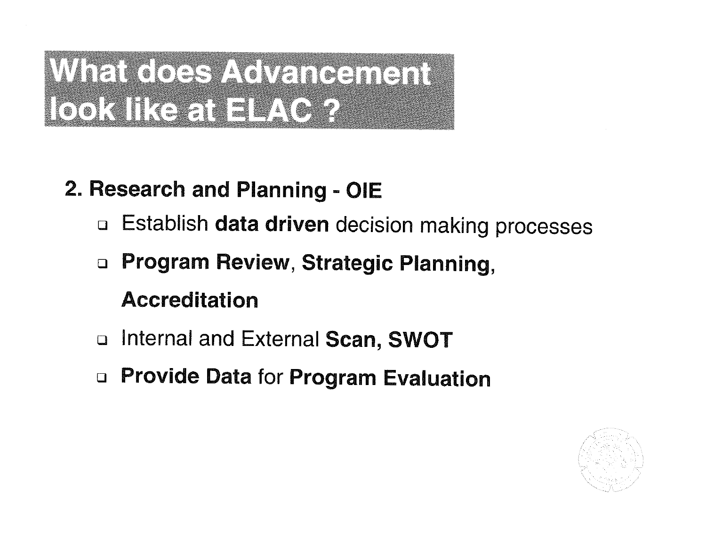## WichclossAcMarchen LOOKTREET EAGR

### 2. Research and Planning - OIE

- Establish data driven decision making processes  $\Box$
- **Program Review, Strategic Planning.**  $\Box$

### **Accreditation**

- Internal and External Scan, SWOT  $\Box$
- **D** Provide Data for Program Evaluation

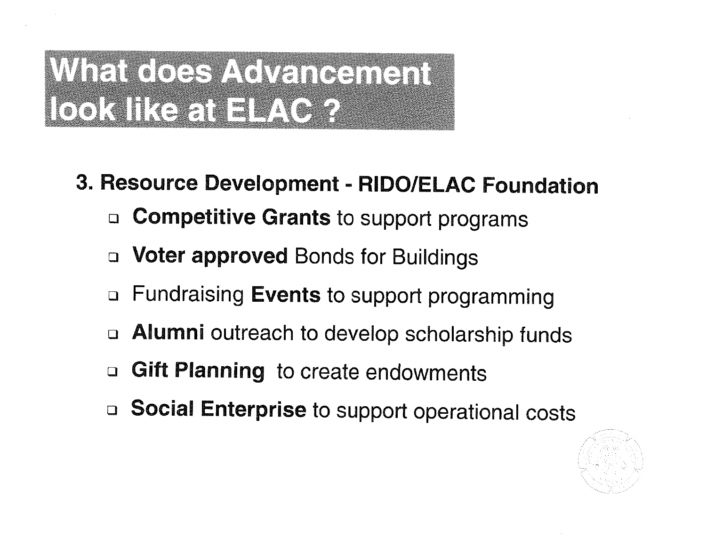## Wielkockszkokencench LOOKITKE EN ELATOR

- 3. Resource Development RIDO/ELAC Foundation
	- □ Competitive Grants to support programs
	- **Voter approved Bonds for Buildings**  $\Box$
	- Fundraising Events to support programming  $\Box$
	- Alumni outreach to develop scholarship funds
	- Gift Planning to create endowments  $\Box$
	- Social Enterprise to support operational costs  $\Box$

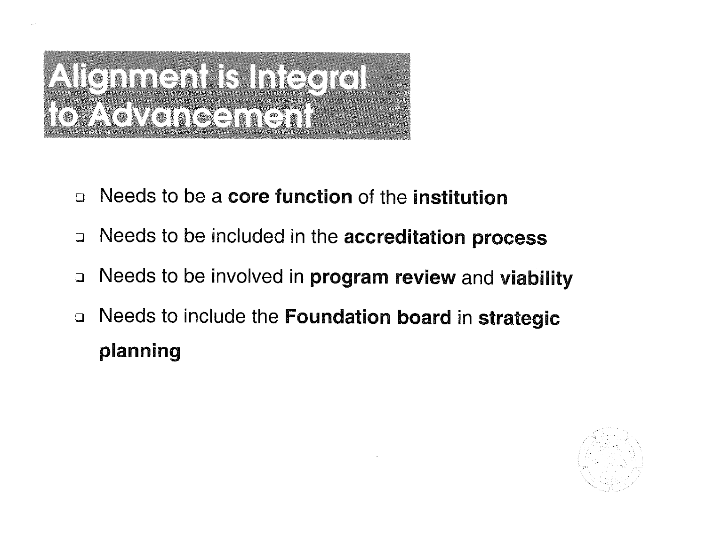# ATéninén Binder **IOAGVeneanen!**

- Needs to be a core function of the institution  $\Box$
- Needs to be included in the accreditation process  $\Box$
- Needs to be involved in program review and viability  $\Box$
- Needs to include the Foundation board in strategic  $\Box$ planning